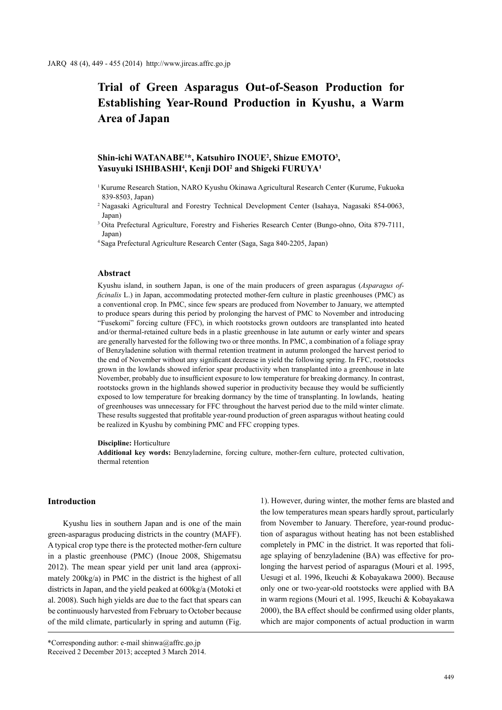# **Trial of Green Asparagus Out-of-Season Production for Establishing Year-Round Production in Kyushu, a Warm Area of Japan**

# **Shin-ichi WATANABE1 \*, Katsuhiro INOUE2 , Shizue EMOTO3 , Yasuyuki ISHIBASHI4 , Kenji DOI2 and Shigeki FURUYA1**

- 1 Kurume Research Station, NARO Kyushu Okinawa Agricultural Research Center (Kurume, Fukuoka 839-8503, Japan)
- 2 Nagasaki Agricultural and Forestry Technical Development Center (Isahaya, Nagasaki 854-0063, Japan)
- 3 Oita Prefectural Agriculture, Forestry and Fisheries Research Center (Bungo-ohno, Oita 879-7111, Japan)
- 4 Saga Prefectural Agriculture Research Center (Saga, Saga 840-2205, Japan)

## **Abstract**

Kyushu island, in southern Japan, is one of the main producers of green asparagus (*Asparagus officinalis* L.) in Japan, accommodating protected mother-fern culture in plastic greenhouses (PMC) as a conventional crop. In PMC, since few spears are produced from November to January, we attempted to produce spears during this period by prolonging the harvest of PMC to November and introducing "Fusekomi" forcing culture (FFC), in which rootstocks grown outdoors are transplanted into heated and/or thermal-retained culture beds in a plastic greenhouse in late autumn or early winter and spears are generally harvested for the following two or three months. In PMC, a combination of a foliage spray of Benzyladenine solution with thermal retention treatment in autumn prolonged the harvest period to the end of November without any significant decrease in yield the following spring. In FFC, rootstocks grown in the lowlands showed inferior spear productivity when transplanted into a greenhouse in late November, probably due to insufficient exposure to low temperature for breaking dormancy. In contrast, rootstocks grown in the highlands showed superior in productivity because they would be sufficiently exposed to low temperature for breaking dormancy by the time of transplanting. In lowlands, heating of greenhouses was unnecessary for FFC throughout the harvest period due to the mild winter climate. These results suggested that profitable year-round production of green asparagus without heating could be realized in Kyushu by combining PMC and FFC cropping types.

#### **Discipline:** Horticulture

**Additional key words:** Benzyladernine, forcing culture, mother-fern culture, protected cultivation, thermal retention

# **Introduction**

Kyushu lies in southern Japan and is one of the main green-asparagus producing districts in the country (MAFF). A typical crop type there is the protected mother-fern culture in a plastic greenhouse (PMC) (Inoue 2008, Shigematsu 2012). The mean spear yield per unit land area (approximately 200kg/a) in PMC in the district is the highest of all districts in Japan, and the yield peaked at 600kg/a (Motoki et al. 2008). Such high yields are due to the fact that spears can be continuously harvested from February to October because of the mild climate, particularly in spring and autumn (Fig.

1). However, during winter, the mother ferns are blasted and the low temperatures mean spears hardly sprout, particularly from November to January. Therefore, year-round production of asparagus without heating has not been established completely in PMC in the district. It was reported that foliage splaying of benzyladenine (BA) was effective for prolonging the harvest period of asparagus (Mouri et al. 1995, Uesugi et al. 1996, Ikeuchi & Kobayakawa 2000). Because only one or two-year-old rootstocks were applied with BA in warm regions (Mouri et al. 1995, Ikeuchi & Kobayakawa 2000), the BA effect should be confirmed using older plants, which are major components of actual production in warm

<sup>\*</sup>Corresponding author: e-mail shinwa@affrc.go.jp Received 2 December 2013; accepted 3 March 2014.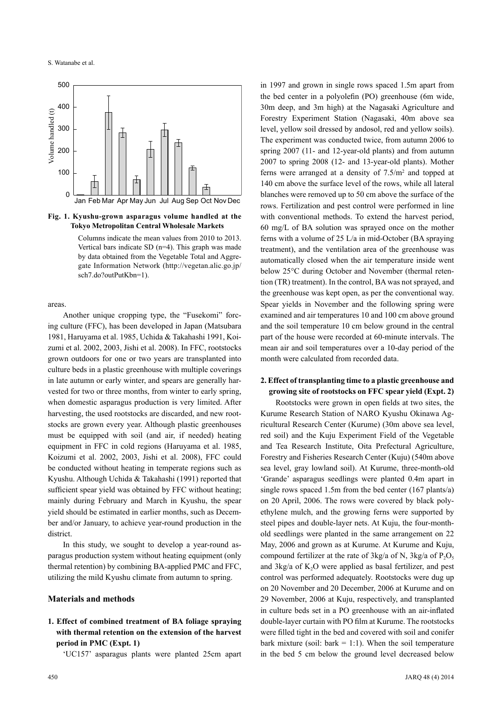

**Fig. 1. Kyushu-grown asparagus volume handled at the Tokyo Metropolitan Central Wholesale Markets**

Columns indicate the mean values from 2010 to 2013. Vertical bars indicate SD (n=4). This graph was made by data obtained from the Vegetable Total and Aggregate Information Network (http://vegetan.alic.go.jp/ sch7.do?outPutKbn=1).

areas.

Another unique cropping type, the "Fusekomi" forcing culture (FFC), has been developed in Japan (Matsubara 1981, Haruyama et al. 1985, Uchida & Takahashi 1991, Koizumi et al. 2002, 2003, Jishi et al. 2008). In FFC, rootstocks grown outdoors for one or two years are transplanted into culture beds in a plastic greenhouse with multiple coverings in late autumn or early winter, and spears are generally harvested for two or three months, from winter to early spring, when domestic asparagus production is very limited. After harvesting, the used rootstocks are discarded, and new rootstocks are grown every year. Although plastic greenhouses must be equipped with soil (and air, if needed) heating equipment in FFC in cold regions (Haruyama et al. 1985, Koizumi et al. 2002, 2003, Jishi et al. 2008), FFC could be conducted without heating in temperate regions such as Kyushu. Although Uchida & Takahashi (1991) reported that sufficient spear yield was obtained by FFC without heating; mainly during February and March in Kyushu, the spear yield should be estimated in earlier months, such as December and/or January, to achieve year-round production in the district.

In this study, we sought to develop a year-round asparagus production system without heating equipment (only thermal retention) by combining BA-applied PMC and FFC, utilizing the mild Kyushu climate from autumn to spring.

## **Materials and methods**

# **1. Effect of combined treatment of BA foliage spraying with thermal retention on the extension of the harvest period in PMC (Expt. 1)**

'UC157' asparagus plants were planted 25cm apart

450 JARQ 48 (4) 2014

in 1997 and grown in single rows spaced 1.5m apart from the bed center in a polyolefin (PO) greenhouse (6m wide, 30m deep, and 3m high) at the Nagasaki Agriculture and Forestry Experiment Station (Nagasaki, 40m above sea level, yellow soil dressed by andosol, red and yellow soils). The experiment was conducted twice, from autumn 2006 to spring 2007 (11- and 12-year-old plants) and from autumn 2007 to spring 2008 (12- and 13-year-old plants). Mother ferns were arranged at a density of  $7.5/m<sup>2</sup>$  and topped at 140 cm above the surface level of the rows, while all lateral blanches were removed up to 50 cm above the surface of the rows. Fertilization and pest control were performed in line with conventional methods. To extend the harvest period, 60 mg/L of BA solution was sprayed once on the mother ferns with a volume of 25 L/a in mid-October (BA spraying treatment), and the ventilation area of the greenhouse was automatically closed when the air temperature inside went below 25°C during October and November (thermal retention (TR) treatment). In the control, BA was not sprayed, and the greenhouse was kept open, as per the conventional way. Spear yields in November and the following spring were examined and air temperatures 10 and 100 cm above ground and the soil temperature 10 cm below ground in the central part of the house were recorded at 60-minute intervals. The mean air and soil temperatures over a 10-day period of the month were calculated from recorded data.

## **2. Effect of transplanting time to a plastic greenhouse and growing site of rootstocks on FFC spear yield (Expt. 2)**

Rootstocks were grown in open fields at two sites, the Kurume Research Station of NARO Kyushu Okinawa Agricultural Research Center (Kurume) (30m above sea level, red soil) and the Kuju Experiment Field of the Vegetable and Tea Research Institute, Oita Prefectural Agriculture, Forestry and Fisheries Research Center (Kuju) (540m above sea level, gray lowland soil). At Kurume, three-month-old 'Grande' asparagus seedlings were planted 0.4m apart in single rows spaced 1.5m from the bed center (167 plants/a) on 20 April, 2006. The rows were covered by black polyethylene mulch, and the growing ferns were supported by steel pipes and double-layer nets. At Kuju, the four-monthold seedlings were planted in the same arrangement on 22 May, 2006 and grown as at Kurume. At Kurume and Kuju, compound fertilizer at the rate of  $3kg/a$  of N,  $3kg/a$  of P<sub>2</sub>O<sub>5</sub> and  $3\text{kg/a}$  of  $\text{K}_2\text{O}$  were applied as basal fertilizer, and pest control was performed adequately. Rootstocks were dug up on 20 November and 20 December, 2006 at Kurume and on 29 November, 2006 at Kuju, respectively, and transplanted in culture beds set in a PO greenhouse with an air-inflated double-layer curtain with PO film at Kurume. The rootstocks were filled tight in the bed and covered with soil and conifer bark mixture (soil:  $bark = 1:1$ ). When the soil temperature in the bed 5 cm below the ground level decreased below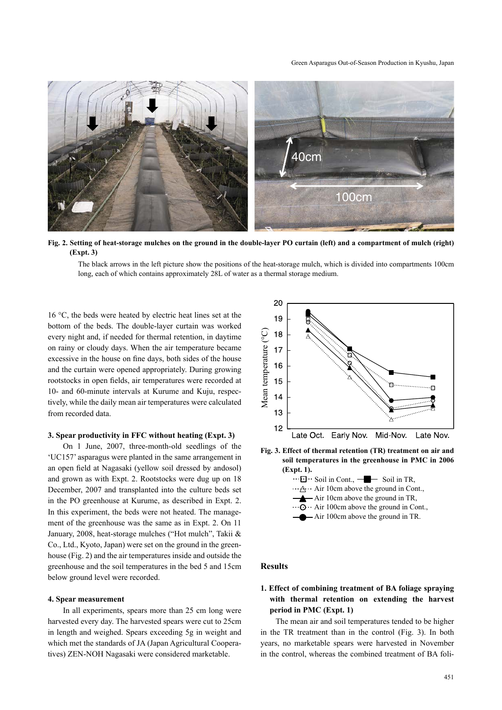#### Green Asparagus Out-of-Season Production in Kyushu, Japan



**Fig. 2. Setting of heat-storage mulches on the ground in the double-layer PO curtain (left) and a compartment of mulch (right) (Expt. 3)**

The black arrows in the left picture show the positions of the heat-storage mulch, which is divided into compartments 100cm long, each of which contains approximately 28L of water as a thermal storage medium.

16 °C, the beds were heated by electric heat lines set at the bottom of the beds. The double-layer curtain was worked every night and, if needed for thermal retention, in daytime on rainy or cloudy days. When the air temperature became excessive in the house on fine days, both sides of the house and the curtain were opened appropriately. During growing rootstocks in open fields, air temperatures were recorded at 10- and 60-minute intervals at Kurume and Kuju, respectively, while the daily mean air temperatures were calculated from recorded data.

## **3. Spear productivity in FFC without heating (Expt. 3)**

On 1 June, 2007, three-month-old seedlings of the 'UC157' asparagus were planted in the same arrangement in an open field at Nagasaki (yellow soil dressed by andosol) and grown as with Expt. 2. Rootstocks were dug up on 18 December, 2007 and transplanted into the culture beds set in the PO greenhouse at Kurume, as described in Expt. 2. In this experiment, the beds were not heated. The management of the greenhouse was the same as in Expt. 2. On 11 January, 2008, heat-storage mulches ("Hot mulch", Takii & Co., Ltd., Kyoto, Japan) were set on the ground in the greenhouse (Fig. 2) and the air temperatures inside and outside the greenhouse and the soil temperatures in the bed 5 and 15cm below ground level were recorded.

#### **4. Spear measurement**

In all experiments, spears more than 25 cm long were harvested every day. The harvested spears were cut to 25cm in length and weighed. Spears exceeding 5g in weight and which met the standards of JA (Japan Agricultural Cooperatives) ZEN-NOH Nagasaki were considered marketable.



**Fig. 3. Effect of thermal retention (TR) treatment on air and soil temperatures in the greenhouse in PMC in 2006 (Expt. 1).**



# **Results**

# **1. Effect of combining treatment of BA foliage spraying with thermal retention on extending the harvest period in PMC (Expt. 1)**

The mean air and soil temperatures tended to be higher in the TR treatment than in the control (Fig. 3). In both years, no marketable spears were harvested in November in the control, whereas the combined treatment of BA foli-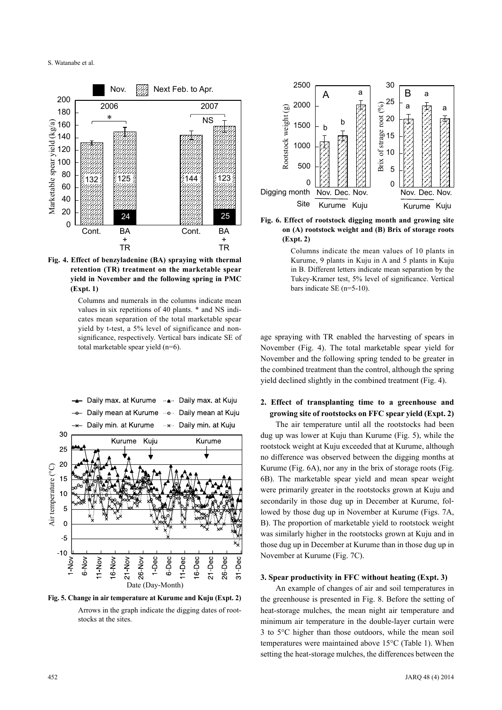

**Fig. 4. Effect of benzyladenine (BA) spraying with thermal retention (TR) treatment on the marketable spear yield in November and the following spring in PMC (Expt. 1)**

Columns and numerals in the columns indicate mean values in six repetitions of 40 plants. \* and NS indicates mean separation of the total marketable spear yield by t-test, a 5% level of significance and nonsignificance, respectively. Vertical bars indicate SE of total marketable spear yield (n=6).



**Fig. 5. Change in air temperature at Kurume and Kuju (Expt. 2)** Arrows in the graph indicate the digging dates of rootstocks at the sites.



**Fig. 6. Effect of rootstock digging month and growing site on (A) rootstock weight and (B) Brix of storage roots (Expt. 2)**

Columns indicate the mean values of 10 plants in Kurume, 9 plants in Kuju in A and 5 plants in Kuju in B. Different letters indicate mean separation by the Tukey-Kramer test, 5% level of significance. Vertical bars indicate SE (n=5-10).

age spraying with TR enabled the harvesting of spears in November (Fig. 4). The total marketable spear yield for November and the following spring tended to be greater in the combined treatment than the control, although the spring yield declined slightly in the combined treatment (Fig. 4).

# **2. Effect of transplanting time to a greenhouse and growing site of rootstocks on FFC spear yield (Expt. 2)**

The air temperature until all the rootstocks had been dug up was lower at Kuju than Kurume (Fig. 5), while the rootstock weight at Kuju exceeded that at Kurume, although no difference was observed between the digging months at Kurume (Fig. 6A), nor any in the brix of storage roots (Fig. 6B). The marketable spear yield and mean spear weight were primarily greater in the rootstocks grown at Kuju and secondarily in those dug up in December at Kurume, followed by those dug up in November at Kurume (Figs. 7A, B). The proportion of marketable yield to rootstock weight was similarly higher in the rootstocks grown at Kuju and in those dug up in December at Kurume than in those dug up in November at Kurume (Fig. 7C).

## **3. Spear productivity in FFC without heating (Expt. 3)**

An example of changes of air and soil temperatures in the greenhouse is presented in Fig. 8. Before the setting of heat-storage mulches, the mean night air temperature and minimum air temperature in the double-layer curtain were 3 to 5°C higher than those outdoors, while the mean soil temperatures were maintained above 15°C (Table 1). When setting the heat-storage mulches, the differences between the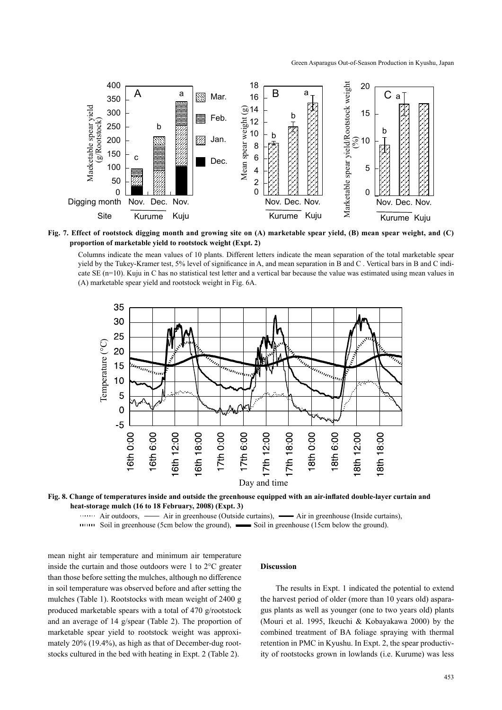

**Fig. 7. Effect of rootstock digging month and growing site on (A) marketable spear yield, (B) mean spear weight, and (C) proportion of marketable yield to rootstock weight (Expt. 2)**

Columns indicate the mean values of 10 plants. Different letters indicate the mean separation of the total marketable spear yield by the Tukey-Kramer test, 5% level of significance in A, and mean separation in B and C . Vertical bars in B and C indicate SE (n=10). Kuju in C has no statistical test letter and a vertical bar because the value was estimated using mean values in (A) marketable spear yield and rootstock weight in Fig. 6A.



**Fig. 8. Change of temperatures inside and outside the greenhouse equipped with an air-inflated double-layer curtain and heat-storage mulch (16 to 18 February, 2008) (Expt. 3)**

Air outdoors, — Air in greenhouse (Outside curtains), — Air in greenhouse (Inside curtains),

111111 Soil in greenhouse (5cm below the ground), Soil in greenhouse (15cm below the ground).

mean night air temperature and minimum air temperature inside the curtain and those outdoors were 1 to 2°C greater than those before setting the mulches, although no difference in soil temperature was observed before and after setting the mulches (Table 1). Rootstocks with mean weight of 2400 g produced marketable spears with a total of 470 g/rootstock and an average of 14 g/spear (Table 2). The proportion of marketable spear yield to rootstock weight was approximately 20% (19.4%), as high as that of December-dug rootstocks cultured in the bed with heating in Expt. 2 (Table 2).

## **Discussion**

The results in Expt. 1 indicated the potential to extend the harvest period of older (more than 10 years old) asparagus plants as well as younger (one to two years old) plants (Mouri et al. 1995, Ikeuchi & Kobayakawa 2000) by the combined treatment of BA foliage spraying with thermal retention in PMC in Kyushu. In Expt. 2, the spear productivity of rootstocks grown in lowlands (i.e. Kurume) was less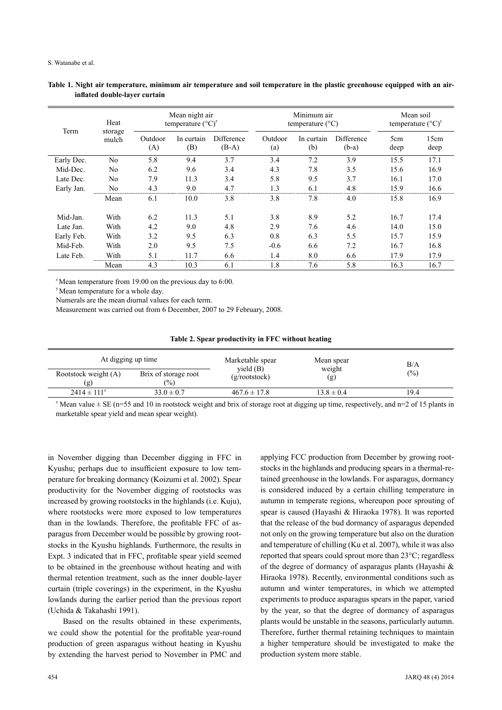| Term       | Heat<br>storage<br>mulch | Mean night air<br>temperature $({}^{\circ}C)^{z}$ |                   |                       | Minimum air<br>temperature $(^{\circ}C)$ |                   |                       | Mean soil<br>temperature $({}^{\circ}C)^{y}$ |              |
|------------|--------------------------|---------------------------------------------------|-------------------|-----------------------|------------------------------------------|-------------------|-----------------------|----------------------------------------------|--------------|
|            |                          | Outdoor<br>(A)                                    | In curtain<br>(B) | Difference<br>$(B-A)$ | Outdoor<br>(a)                           | In curtain<br>(b) | Difference<br>$(b-a)$ | 5cm<br>deep                                  | 15cm<br>deep |
| Early Dec. | N <sub>0</sub>           | 5.8                                               | 9.4               | 3.7                   | 3.4                                      | 7.2               | 3.9                   | 15.5                                         | 17.1         |
| Mid-Dec.   | N <sub>0</sub>           | 6.2                                               | 9.6               | 3.4                   | 4.3                                      | 7.8               | 3.5                   | 15.6                                         | 16.9         |
| Late Dec.  | N <sub>0</sub>           | 7.9                                               | 11.3              | 3.4                   | 5.8                                      | 9.5               | 3.7                   | 16.1                                         | 17.0         |
| Early Jan. | No                       | 4.3                                               | 9.0               | 4.7                   | 1.3                                      | 6.1               | 4.8                   | 15.9                                         | 16.6         |
|            | Mean                     | 6.1                                               | 10.0              | 3.8                   | 3.8                                      | 7.8               | 4.0                   | 15.8                                         | 16.9         |
| Mid-Jan.   | With                     | 6.2                                               | 11.3              | 5.1                   | 3.8                                      | 8.9               | 5.2                   | 16.7                                         | 17.4         |
| Late Jan.  | With                     | 4.2                                               | 9.0               | 4.8                   | 2.9                                      | 7.6               | 4.6                   | 14.0                                         | 15.0         |
| Early Feb. | With                     | 3.2                                               | 9.5               | 6.3                   | 0.8                                      | 6.3               | 5.5                   | 15.7                                         | 15.9         |
| Mid-Feb.   | With                     | 2.0                                               | 9.5               | 7.5                   | $-0.6$                                   | 6.6               | 7.2                   | 16.7                                         | 16.8         |
| Late Feb.  | With                     | 5.1                                               | 11.7              | 6.6                   | 1.4                                      | 8.0               | 6.6                   | 17.9                                         | 17.9         |
|            | Mean                     | 4.3                                               | 10.3              | 6.1                   | 1.8                                      | 7.6               | 5.8                   | 16.3                                         | 16.7         |

## **Table 1. Night air temperature, minimum air temperature and soil temperature in the plastic greenhouse equipped with an airinflated double-layer curtain**

 $2^{2}$  Mean temperature from 19:00 on the previous day to 6:00.

y Mean temperature for a whole day.

Numerals are the mean diurnal values for each term.

Measurement was carried out from 6 December, 2007 to 29 February, 2008.

| Table 2. Spear productivity in FFC without heating |  |
|----------------------------------------------------|--|
|----------------------------------------------------|--|

| At digging up time          |                                | Marketable spear<br>yield(B) | Mean spear     | B/A<br>$\frac{6}{2}$ |  |
|-----------------------------|--------------------------------|------------------------------|----------------|----------------------|--|
| Rootstock weight (A)<br>(g) | Brix of storage root<br>$(\%)$ | $(g$ /rootstock)             | weight<br>(g)  |                      |  |
| $2414 \pm 111^{2}$          | $33.0 \pm 0.7$                 | $467.6 \pm 17.8$             | $13.8 \pm 0.4$ | 19.4                 |  |

<sup>z</sup> Mean value  $\pm$  SE (n=55 and 10 in rootstock weight and brix of storage root at digging up time, respectively, and n=2 of 15 plants in marketable spear yield and mean spear weight).

in November digging than December digging in FFC in Kyushu; perhaps due to insufficient exposure to low temperature for breaking dormancy (Koizumi et al. 2002). Spear productivity for the November digging of rootstocks was increased by growing rootstocks in the highlands (i.e. Kuju), where rootstocks were more exposed to low temperatures than in the lowlands. Therefore, the profitable FFC of asparagus from December would be possible by growing rootstocks in the Kyushu highlands. Furthermore, the results in Expt. 3 indicated that in FFC, profitable spear yield seemed to be obtained in the greenhouse without heating and with thermal retention treatment, such as the inner double-layer curtain (triple coverings) in the experiment, in the Kyushu lowlands during the earlier period than the previous report (Uchida & Takahashi 1991).

Based on the results obtained in these experiments, we could show the potential for the profitable year-round production of green asparagus without heating in Kyushu by extending the harvest period to November in PMC and applying FCC production from December by growing rootstocks in the highlands and producing spears in a thermal-retained greenhouse in the lowlands. For asparagus, dormancy is considered induced by a certain chilling temperature in autumn in temperate regions, whereupon poor sprouting of spear is caused (Hayashi & Hiraoka 1978). It was reported that the release of the bud dormancy of asparagus depended not only on the growing temperature but also on the duration and temperature of chilling (Ku et al. 2007), while it was also reported that spears could sprout more than 23°C; regardless of the degree of dormancy of asparagus plants (Hayashi & Hiraoka 1978). Recently, environmental conditions such as autumn and winter temperatures, in which we attempted experiments to produce asparagus spears in the paper, varied by the year, so that the degree of dormancy of asparagus plants would be unstable in the seasons, particularly autumn. Therefore, further thermal retaining techniques to maintain a higher temperature should be investigated to make the production system more stable.